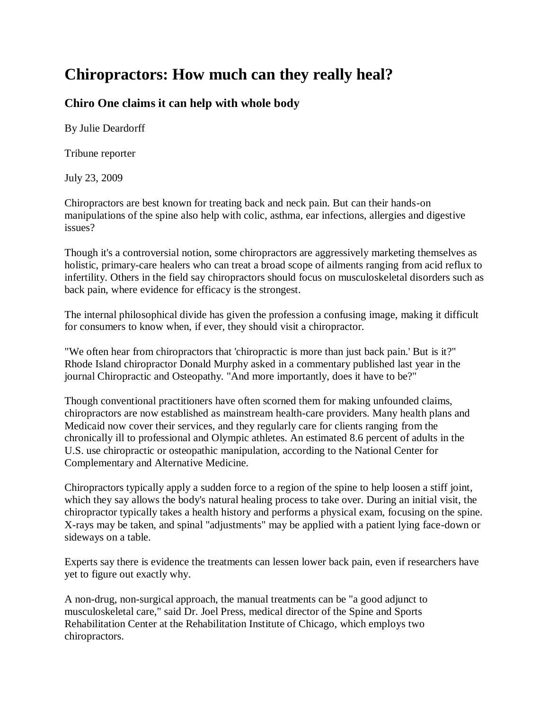## **Chiropractors: How much can they really heal?**

## **Chiro One claims it can help with whole body**

By Julie Deardorff

Tribune reporter

July 23, 2009

Chiropractors are best known for treating back and neck pain. But can their hands-on manipulations of the spine also help with colic, asthma, ear infections, allergies and digestive issues?

Though it's a controversial notion, some chiropractors are aggressively marketing themselves as holistic, primary-care healers who can treat a broad scope of ailments ranging from acid reflux to infertility. Others in the field say chiropractors should focus on musculoskeletal disorders such as back pain, where evidence for efficacy is the strongest.

The internal philosophical divide has given the profession a confusing image, making it difficult for consumers to know when, if ever, they should visit a chiropractor.

"We often hear from chiropractors that 'chiropractic is more than just back pain.' But is it?" Rhode Island chiropractor Donald Murphy asked in a commentary published last year in the journal Chiropractic and Osteopathy. "And more importantly, does it have to be?"

Though conventional practitioners have often scorned them for making unfounded claims, chiropractors are now established as mainstream health-care providers. Many health plans and Medicaid now cover their services, and they regularly care for clients ranging from the chronically ill to professional and Olympic athletes. An estimated 8.6 percent of adults in the U.S. use chiropractic or osteopathic manipulation, according to the National Center for Complementary and Alternative Medicine.

Chiropractors typically apply a sudden force to a region of the spine to help loosen a stiff joint, which they say allows the body's natural healing process to take over. During an initial visit, the chiropractor typically takes a health history and performs a physical exam, focusing on the spine. X-rays may be taken, and spinal "adjustments" may be applied with a patient lying face-down or sideways on a table.

Experts say there is evidence the treatments can lessen lower back pain, even if researchers have yet to figure out exactly why.

A non-drug, non-surgical approach, the manual treatments can be "a good adjunct to musculoskeletal care," said Dr. Joel Press, medical director of the Spine and Sports Rehabilitation Center at the Rehabilitation Institute of Chicago, which employs two chiropractors.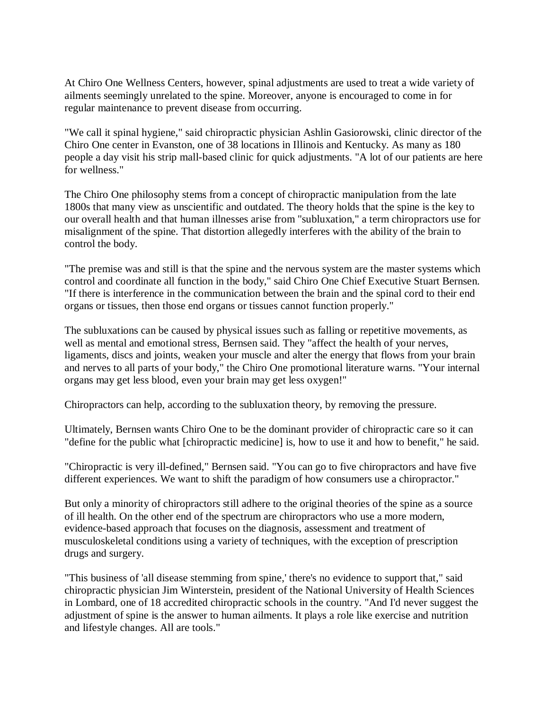At Chiro One Wellness Centers, however, spinal adjustments are used to treat a wide variety of ailments seemingly unrelated to the spine. Moreover, anyone is encouraged to come in for regular maintenance to prevent disease from occurring.

"We call it spinal hygiene," said chiropractic physician Ashlin Gasiorowski, clinic director of the Chiro One center in Evanston, one of 38 locations in Illinois and Kentucky. As many as 180 people a day visit his strip mall-based clinic for quick adjustments. "A lot of our patients are here for wellness."

The Chiro One philosophy stems from a concept of chiropractic manipulation from the late 1800s that many view as unscientific and outdated. The theory holds that the spine is the key to our overall health and that human illnesses arise from "subluxation," a term chiropractors use for misalignment of the spine. That distortion allegedly interferes with the ability of the brain to control the body.

"The premise was and still is that the spine and the nervous system are the master systems which control and coordinate all function in the body," said Chiro One Chief Executive Stuart Bernsen. "If there is interference in the communication between the brain and the spinal cord to their end organs or tissues, then those end organs or tissues cannot function properly."

The subluxations can be caused by physical issues such as falling or repetitive movements, as well as mental and emotional stress, Bernsen said. They "affect the health of your nerves, ligaments, discs and joints, weaken your muscle and alter the energy that flows from your brain and nerves to all parts of your body," the Chiro One promotional literature warns. "Your internal organs may get less blood, even your brain may get less oxygen!"

Chiropractors can help, according to the subluxation theory, by removing the pressure.

Ultimately, Bernsen wants Chiro One to be the dominant provider of chiropractic care so it can "define for the public what [chiropractic medicine] is, how to use it and how to benefit," he said.

"Chiropractic is very ill-defined," Bernsen said. "You can go to five chiropractors and have five different experiences. We want to shift the paradigm of how consumers use a chiropractor."

But only a minority of chiropractors still adhere to the original theories of the spine as a source of ill health. On the other end of the spectrum are chiropractors who use a more modern, evidence-based approach that focuses on the diagnosis, assessment and treatment of musculoskeletal conditions using a variety of techniques, with the exception of prescription drugs and surgery.

"This business of 'all disease stemming from spine,' there's no evidence to support that," said chiropractic physician Jim Winterstein, president of the National University of Health Sciences in Lombard, one of 18 accredited chiropractic schools in the country. "And I'd never suggest the adjustment of spine is the answer to human ailments. It plays a role like exercise and nutrition and lifestyle changes. All are tools."